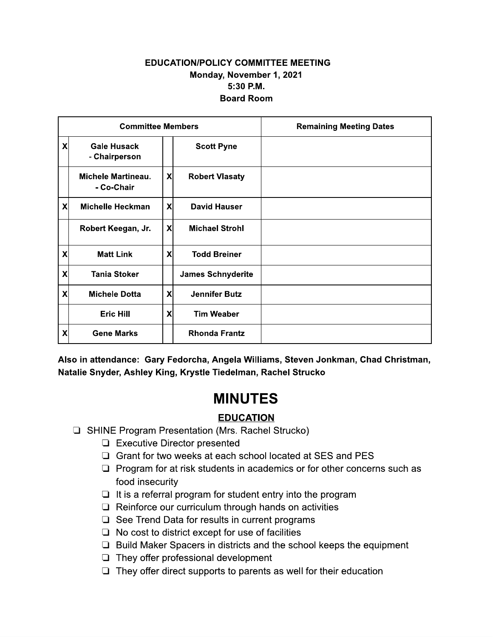#### EDUCATION/POLICY COMMITTEE MEETING Monday, November 1, 2021 5:30 P.M. **Board Room**

|   | <b>Committee Members</b>                |                           |                                                                                  | <b>Remaining Meeting Dates</b>                                                      |
|---|-----------------------------------------|---------------------------|----------------------------------------------------------------------------------|-------------------------------------------------------------------------------------|
| X | <b>Gale Husack</b><br>- Chairperson     |                           | <b>Scott Pyne</b>                                                                |                                                                                     |
|   | <b>Michele Martineau.</b><br>- Co-Chair | $\boldsymbol{\mathsf{X}}$ | <b>Robert Vlasaty</b>                                                            |                                                                                     |
| X | <b>Michelle Heckman</b>                 | $\boldsymbol{\mathsf{X}}$ | <b>David Hauser</b>                                                              |                                                                                     |
|   | Robert Keegan, Jr.                      | $\boldsymbol{\mathsf{X}}$ | <b>Michael Strohl</b>                                                            |                                                                                     |
| X | <b>Matt Link</b>                        | X                         | <b>Todd Breiner</b>                                                              |                                                                                     |
| X | <b>Tania Stoker</b>                     |                           | <b>James Schnyderite</b>                                                         |                                                                                     |
| X | <b>Michele Dotta</b>                    | X                         | <b>Jennifer Butz</b>                                                             |                                                                                     |
|   | <b>Eric Hill</b>                        | X                         | <b>Tim Weaber</b>                                                                |                                                                                     |
| X | <b>Gene Marks</b>                       |                           | <b>Rhonda Frantz</b>                                                             |                                                                                     |
|   |                                         |                           | Natalie Snyder, Ashley King, Krystle Tiedelman, Rachel Strucko<br><b>MINUTES</b> | Also in attendance: Gary Fedorcha, Angela Williams, Steven Jonkman, Chad Christman, |

## **MINUTES**

# <u>EDUCATION</u>

- **E** SHINE Program Presentation (Mrs. Rachel Strucko)
	- $\Box$  Executive Director presented
	- $\Box$  Grant for two weeks at each school located at SES and PES
	- $\Box$  Program for at risk students in academics or for other concerns such as food insecurity
	- $\Box$  It is a referral program for student entry into the program
	- $\Box$  Reinforce our curriculum through hands on activities
	- $\Box$  See Trend Data for results in current programs
	- $\Box$  No cost to district except for use of facilities
	- $\Box$  Build Maker Spacers in districts and the school keeps the equipment
	- $\Box$  They offer professional development
	- $\Box$  They offer direct supports to parents as well for their education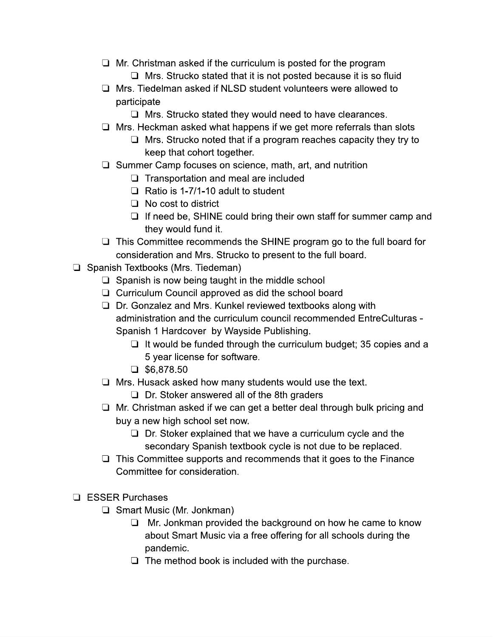- $\Box$  Mr. Christman asked if the curriculum is posted for the program  $\Box$  Mrs. Strucko stated that it is not posted because it is so fluid
- $\Box$  Mrs. Tiedelman asked if NLSD student volunteers were allowed to participate
	- $\Box$  Mrs. Strucko stated they would need to have clearances.
- $\Box$  Mrs. Heckman asked what happens if we get more referrals than slots
	- $\Box$  Mrs. Strucko noted that if a program reaches capacity they try to keep that cohort together.
- $\Box$  Summer Camp focuses on science, math, art, and nutrition
	- $\Box$  Transportation and meal are included
	- $\Box$  Ratio is 1-7/1-10 adult to student
	- $\Box$  No cost to district
	- $\Box$  If need be, SHINE could bring their own staff for summer camp and they would fund it.
- $\Box$  This Committee recommends the SHINE program go to the full board for consideration and Mrs. Strucko to present to the full board.
- □ Spanish Textbooks (Mrs. Tiedeman)
	- $\Box$  Spanish is now being taught in the middle school
	- $\Box$  Curriculum Council approved as did the school board
	- $\Box$  Dr. Gonzalez and Mrs. Kunkel reviewed textbooks along with administration and the curriculum council recommended EntreCulturas -Spanish 1 Hardcover by Wayside Publishing.
		- $\Box$  It would be funded through the curriculum budget; 35 copies and a 5 year license for software.
		- $\Box$  \$6.878.50
	- $\Box$  Mrs. Husack asked how many students would use the text.
		- $\Box$  Dr. Stoker answered all of the 8th graders
	- $\Box$  Mr. Christman asked if we can get a better deal through bulk pricing and buy a new high school set now.
		- $\Box$  Dr. Stoker explained that we have a curriculum cycle and the secondary Spanish textbook cycle is not due to be replaced.
	- $\Box$  This Committee supports and recommends that it goes to the Finance Committee for consideration.
- $\Box$  ESSER Purchases
	- $\Box$  Smart Music (Mr. Jonkman)
		- $\Box$  Mr. Jonkman provided the background on how he came to know about Smart Music via a free offering for all schools during the pandemic.
		- $\Box$  The method book is included with the purchase.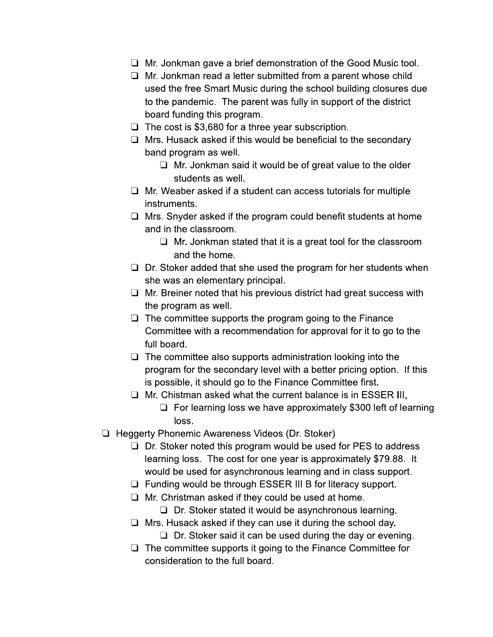- $\Box$  Mr. Jonkman gave a brief demonstration of the Good Music tool.
- $\Box$  Mr. Jonkman read a letter submitted from a parent whose child used the free Smart Music during the school building closures due to the pandemic. The parent was fully in support of the district board funding this program.
- $\Box$  The cost is \$3,680 for a three year subscription.
- $\Box$  Mrs. Husack asked if this would be beneficial to the secondary band program as well.
	- $\Box$  Mr. Jonkman said it would be of great value to the older students as well.
- $\Box$  Mr. Weaber asked if a student can access tutorials for multiple instruments.
- $\Box$  Mrs. Snyder asked if the program could benefit students at home and in the classroom.
	- $\Box$  Mr. Jonkman stated that it is a great tool for the classroom and the home.
- $\Box$  Dr. Stoker added that she used the program for her students when she was an elementary principal.
- $\Box$  Mr. Breiner noted that his previous district had great success with the program as well.
- $\Box$  The committee supports the program going to the Finance Committee with a recommendation for approval for it to go to the full board.
- $\Box$  The committee also supports administration looking into the program for the secondary level with a better pricing option. If this is possible, it should go to the Finance Committee first.
- $\Box$  Mr. Chistman asked what the current balance is in ESSER III.
	- $\Box$  For learning loss we have approximately \$300 left of learning loss.
- □ Heggerty Phonemic Awareness Videos (Dr. Stoker)
	- $\Box$  Dr. Stoker noted this program would be used for PES to address learning loss. The cost for one year is approximately \$79.88. It would be used for asynchronous learning and in class support.
	- $\Box$  Funding would be through ESSER III B for literacy support.
	- $\Box$  Mr. Christman asked if they could be used at home.
		- $\Box$  Dr. Stoker stated it would be asynchronous learning.
	- $\Box$  Mrs. Husack asked if they can use it during the school day.
		- $\Box$  Dr. Stoker said it can be used during the day or evening.
	- $\Box$  The committee supports it going to the Finance Committee for consideration to the full board.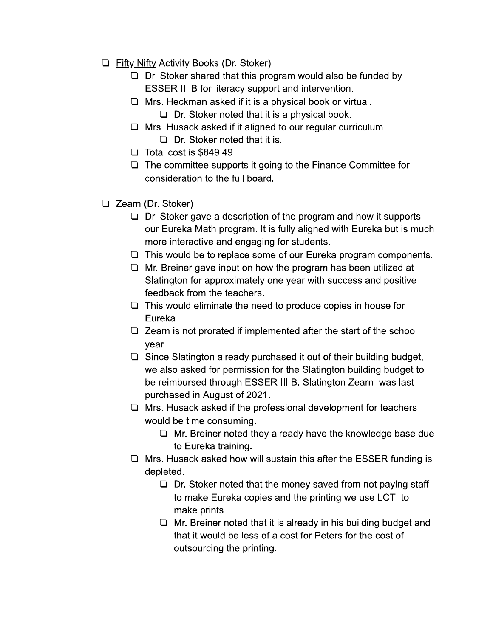- $\Box$  Fifty Nifty Activity Books (Dr. Stoker)
	- $\Box$  Dr. Stoker shared that this program would also be funded by **ESSER III B for literacy support and intervention.**
	- $\Box$  Mrs. Heckman asked if it is a physical book or virtual.
		- $\Box$  Dr. Stoker noted that it is a physical book.
	- $\Box$  Mrs. Husack asked if it aligned to our regular curriculum
		- $\Box$  Dr. Stoker noted that it is.
	- $\Box$  Total cost is \$849.49.
	- $\Box$  The committee supports it going to the Finance Committee for consideration to the full board.
- □ Zearn (Dr. Stoker)
	- $\Box$  Dr. Stoker gave a description of the program and how it supports our Eureka Math program. It is fully aligned with Eureka but is much more interactive and engaging for students.
	- $\Box$  This would be to replace some of our Eureka program components.
	- $\Box$  Mr. Breiner gave input on how the program has been utilized at Slatington for approximately one year with success and positive feedback from the teachers.
	- $\Box$  This would eliminate the need to produce copies in house for Eureka
	- $\Box$  Zearn is not prorated if implemented after the start of the school year.
	- $\Box$  Since Slatington already purchased it out of their building budget, we also asked for permission for the Slatington building budget to be reimbursed through ESSER III B. Slatington Zearn was last purchased in August of 2021.
	- $\Box$  Mrs. Husack asked if the professional development for teachers would be time consuming.
		- $\Box$  Mr. Breiner noted they already have the knowledge base due to Eureka training.
	- $\Box$  Mrs. Husack asked how will sustain this after the ESSER funding is depleted.
		- $\Box$  Dr. Stoker noted that the money saved from not paying staff to make Eureka copies and the printing we use LCTI to make prints.
		- $\Box$  Mr. Breiner noted that it is already in his building budget and that it would be less of a cost for Peters for the cost of outsourcing the printing.